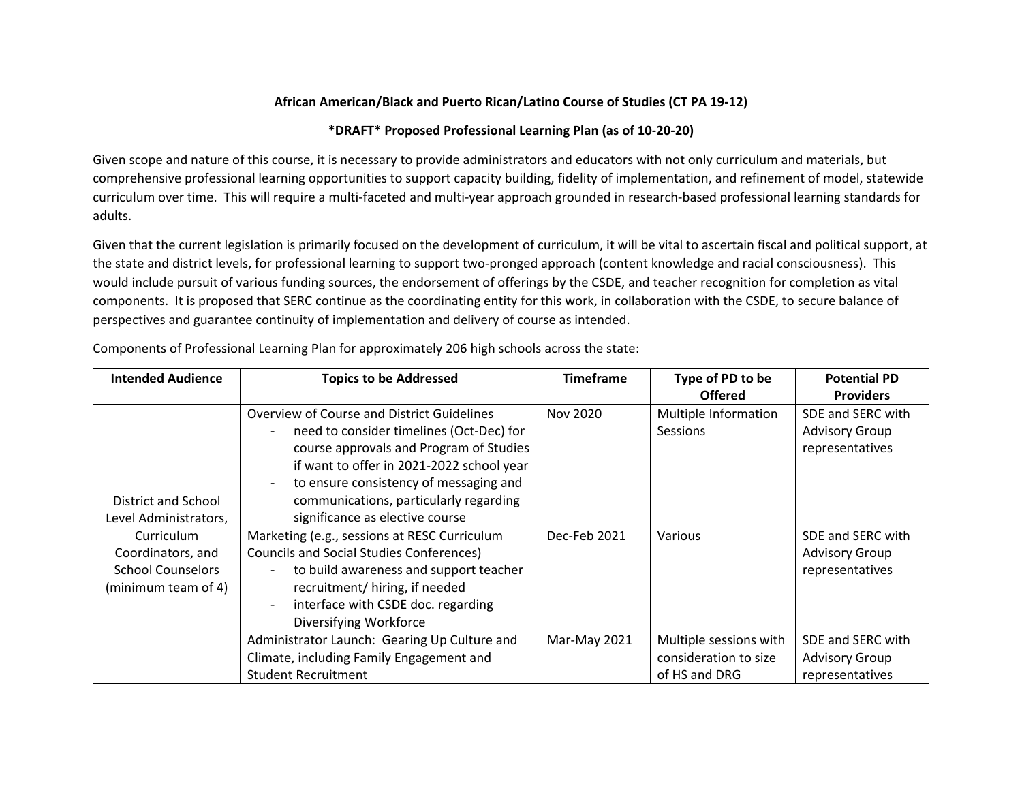## **African American/Black and Puerto Rican/Latino Course of Studies (CT PA 19-12)**

## **\*DRAFT\* Proposed Professional Learning Plan (as of 10-20-20)**

Given scope and nature of this course, it is necessary to provide administrators and educators with not only curriculum and materials, but comprehensive professional learning opportunities to support capacity building, fidelity of implementation, and refinement of model, statewide curriculum over time. This will require a multi-faceted and multi-year approach grounded in research-based professional learning standards for adults.

Given that the current legislation is primarily focused on the development of curriculum, it will be vital to ascertain fiscal and political support, at the state and district levels, for professional learning to support two-pronged approach (content knowledge and racial consciousness). This would include pursuit of various funding sources, the endorsement of offerings by the CSDE, and teacher recognition for completion as vital components. It is proposed that SERC continue as the coordinating entity for this work, in collaboration with the CSDE, to secure balance of perspectives and guarantee continuity of implementation and delivery of course as intended.

| <b>Intended Audience</b>                                                                                                           | <b>Topics to be Addressed</b>                                                                                                                                                                                                               | <b>Timeframe</b> | Type of PD to be                                                 | <b>Potential PD</b>                                           |
|------------------------------------------------------------------------------------------------------------------------------------|---------------------------------------------------------------------------------------------------------------------------------------------------------------------------------------------------------------------------------------------|------------------|------------------------------------------------------------------|---------------------------------------------------------------|
|                                                                                                                                    |                                                                                                                                                                                                                                             |                  | <b>Offered</b>                                                   | <b>Providers</b>                                              |
| District and School<br>Level Administrators,<br>Curriculum<br>Coordinators, and<br><b>School Counselors</b><br>(minimum team of 4) | Overview of Course and District Guidelines<br>need to consider timelines (Oct-Dec) for<br>course approvals and Program of Studies                                                                                                           | Nov 2020         | Multiple Information<br>Sessions                                 | SDE and SERC with<br><b>Advisory Group</b><br>representatives |
|                                                                                                                                    | if want to offer in 2021-2022 school year<br>to ensure consistency of messaging and<br>communications, particularly regarding<br>significance as elective course                                                                            |                  |                                                                  |                                                               |
|                                                                                                                                    | Marketing (e.g., sessions at RESC Curriculum<br><b>Councils and Social Studies Conferences)</b><br>to build awareness and support teacher<br>recruitment/ hiring, if needed<br>interface with CSDE doc. regarding<br>Diversifying Workforce | Dec-Feb 2021     | Various                                                          | SDE and SERC with<br><b>Advisory Group</b><br>representatives |
|                                                                                                                                    | Administrator Launch: Gearing Up Culture and<br>Climate, including Family Engagement and<br><b>Student Recruitment</b>                                                                                                                      | Mar-May 2021     | Multiple sessions with<br>consideration to size<br>of HS and DRG | SDE and SERC with<br><b>Advisory Group</b><br>representatives |

Components of Professional Learning Plan for approximately 206 high schools across the state: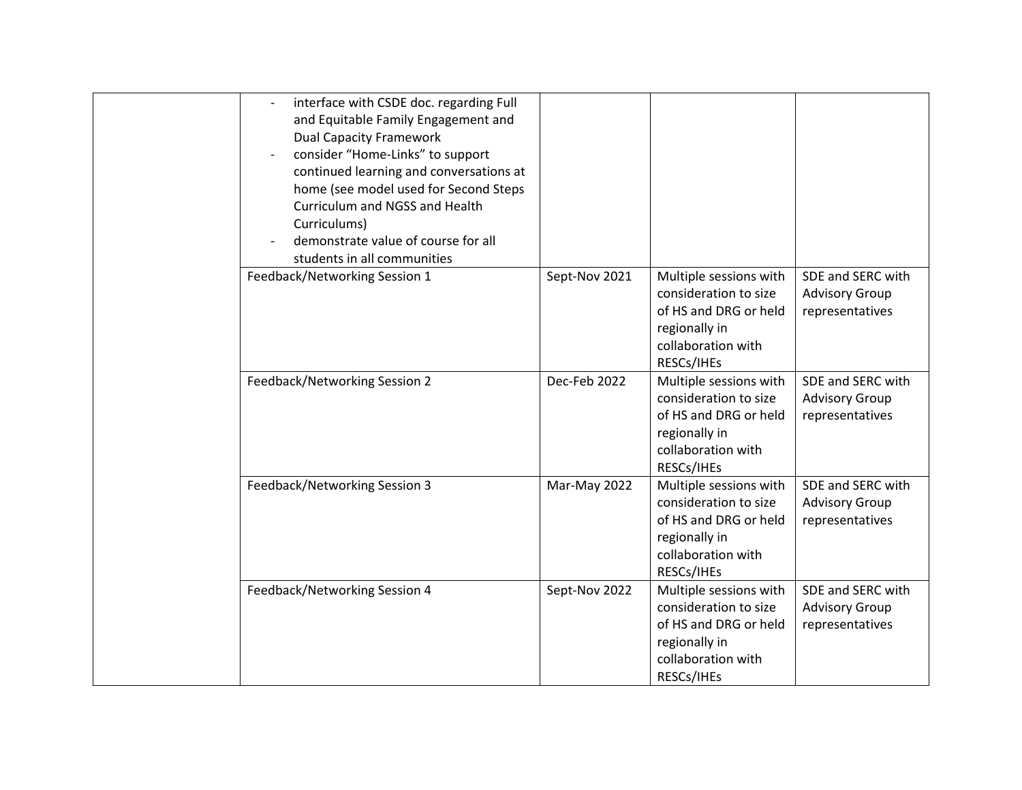|  | interface with CSDE doc. regarding Full<br>$\overline{\phantom{a}}$<br>and Equitable Family Engagement and<br><b>Dual Capacity Framework</b><br>consider "Home-Links" to support<br>continued learning and conversations at<br>home (see model used for Second Steps<br>Curriculum and NGSS and Health<br>Curriculums)<br>demonstrate value of course for all<br>students in all communities |               |                                                                                                                               |                                                               |
|--|----------------------------------------------------------------------------------------------------------------------------------------------------------------------------------------------------------------------------------------------------------------------------------------------------------------------------------------------------------------------------------------------|---------------|-------------------------------------------------------------------------------------------------------------------------------|---------------------------------------------------------------|
|  | Feedback/Networking Session 1                                                                                                                                                                                                                                                                                                                                                                | Sept-Nov 2021 | Multiple sessions with<br>consideration to size<br>of HS and DRG or held<br>regionally in<br>collaboration with<br>RESCs/IHEs | SDE and SERC with<br><b>Advisory Group</b><br>representatives |
|  | Feedback/Networking Session 2                                                                                                                                                                                                                                                                                                                                                                | Dec-Feb 2022  | Multiple sessions with<br>consideration to size<br>of HS and DRG or held<br>regionally in<br>collaboration with<br>RESCs/IHEs | SDE and SERC with<br><b>Advisory Group</b><br>representatives |
|  | Feedback/Networking Session 3                                                                                                                                                                                                                                                                                                                                                                | Mar-May 2022  | Multiple sessions with<br>consideration to size<br>of HS and DRG or held<br>regionally in<br>collaboration with<br>RESCs/IHEs | SDE and SERC with<br><b>Advisory Group</b><br>representatives |
|  | Feedback/Networking Session 4                                                                                                                                                                                                                                                                                                                                                                | Sept-Nov 2022 | Multiple sessions with<br>consideration to size<br>of HS and DRG or held<br>regionally in<br>collaboration with<br>RESCs/IHEs | SDE and SERC with<br><b>Advisory Group</b><br>representatives |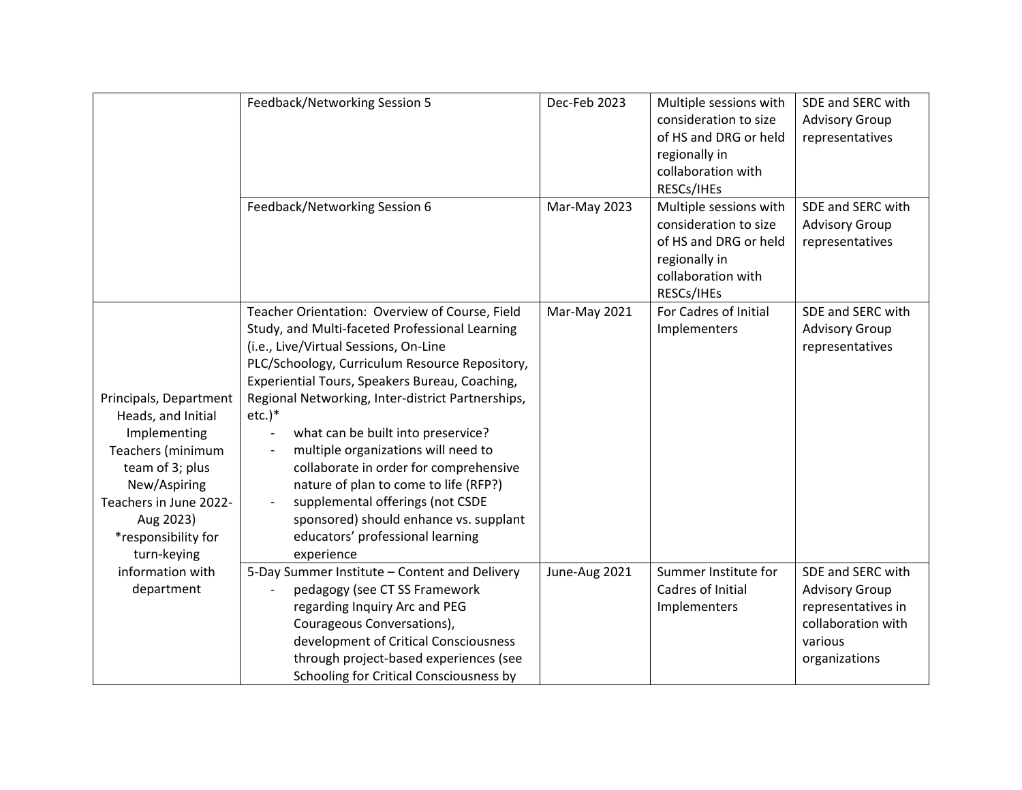|                        | Feedback/Networking Session 5                     | Dec-Feb 2023  | Multiple sessions with | SDE and SERC with     |
|------------------------|---------------------------------------------------|---------------|------------------------|-----------------------|
|                        |                                                   |               | consideration to size  | <b>Advisory Group</b> |
|                        |                                                   |               | of HS and DRG or held  | representatives       |
|                        |                                                   |               | regionally in          |                       |
|                        |                                                   |               | collaboration with     |                       |
|                        |                                                   |               | RESCs/IHEs             |                       |
|                        | Feedback/Networking Session 6                     | Mar-May 2023  | Multiple sessions with | SDE and SERC with     |
|                        |                                                   |               | consideration to size  | <b>Advisory Group</b> |
|                        |                                                   |               | of HS and DRG or held  | representatives       |
|                        |                                                   |               | regionally in          |                       |
|                        |                                                   |               | collaboration with     |                       |
|                        |                                                   |               | RESCs/IHEs             |                       |
|                        | Teacher Orientation: Overview of Course, Field    | Mar-May 2021  | For Cadres of Initial  | SDE and SERC with     |
|                        | Study, and Multi-faceted Professional Learning    |               | Implementers           | <b>Advisory Group</b> |
|                        | (i.e., Live/Virtual Sessions, On-Line             |               |                        | representatives       |
|                        | PLC/Schoology, Curriculum Resource Repository,    |               |                        |                       |
|                        | Experiential Tours, Speakers Bureau, Coaching,    |               |                        |                       |
| Principals, Department | Regional Networking, Inter-district Partnerships, |               |                        |                       |
| Heads, and Initial     | $etc.$ )*                                         |               |                        |                       |
| Implementing           | what can be built into preservice?                |               |                        |                       |
| Teachers (minimum      | multiple organizations will need to               |               |                        |                       |
| team of 3; plus        | collaborate in order for comprehensive            |               |                        |                       |
| New/Aspiring           | nature of plan to come to life (RFP?)             |               |                        |                       |
| Teachers in June 2022- | supplemental offerings (not CSDE                  |               |                        |                       |
| Aug 2023)              | sponsored) should enhance vs. supplant            |               |                        |                       |
| *responsibility for    | educators' professional learning                  |               |                        |                       |
| turn-keying            | experience                                        |               |                        |                       |
| information with       | 5-Day Summer Institute - Content and Delivery     | June-Aug 2021 | Summer Institute for   | SDE and SERC with     |
| department             | pedagogy (see CT SS Framework                     |               | Cadres of Initial      | <b>Advisory Group</b> |
|                        | regarding Inquiry Arc and PEG                     |               | Implementers           | representatives in    |
|                        | Courageous Conversations),                        |               |                        | collaboration with    |
|                        | development of Critical Consciousness             |               |                        | various               |
|                        | through project-based experiences (see            |               |                        | organizations         |
|                        | Schooling for Critical Consciousness by           |               |                        |                       |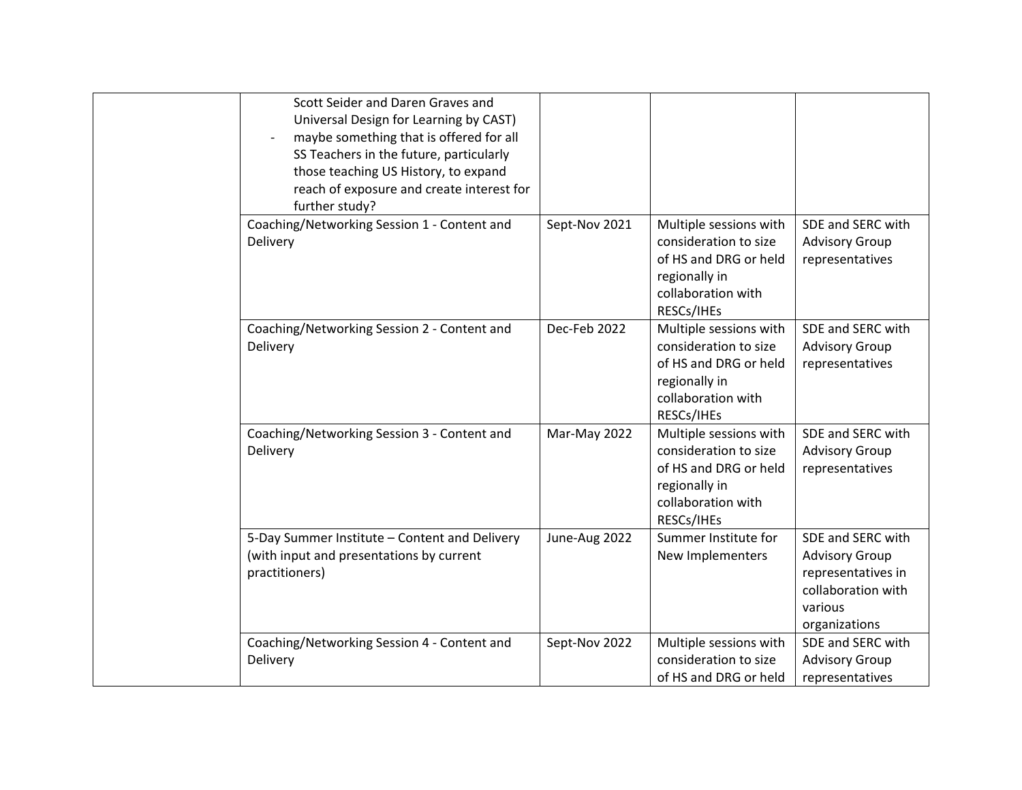| Scott Seider and Daren Graves and<br>Universal Design for Learning by CAST)<br>maybe something that is offered for all<br>SS Teachers in the future, particularly<br>those teaching US History, to expand<br>reach of exposure and create interest for<br>further study? |               |                                                                                                                               |                                                                                                                    |
|--------------------------------------------------------------------------------------------------------------------------------------------------------------------------------------------------------------------------------------------------------------------------|---------------|-------------------------------------------------------------------------------------------------------------------------------|--------------------------------------------------------------------------------------------------------------------|
| Coaching/Networking Session 1 - Content and<br>Delivery                                                                                                                                                                                                                  | Sept-Nov 2021 | Multiple sessions with<br>consideration to size<br>of HS and DRG or held<br>regionally in<br>collaboration with<br>RESCs/IHEs | SDE and SERC with<br><b>Advisory Group</b><br>representatives                                                      |
| Coaching/Networking Session 2 - Content and<br>Delivery                                                                                                                                                                                                                  | Dec-Feb 2022  | Multiple sessions with<br>consideration to size<br>of HS and DRG or held<br>regionally in<br>collaboration with<br>RESCs/IHEs | SDE and SERC with<br><b>Advisory Group</b><br>representatives                                                      |
| Coaching/Networking Session 3 - Content and<br>Delivery                                                                                                                                                                                                                  | Mar-May 2022  | Multiple sessions with<br>consideration to size<br>of HS and DRG or held<br>regionally in<br>collaboration with<br>RESCs/IHEs | SDE and SERC with<br><b>Advisory Group</b><br>representatives                                                      |
| 5-Day Summer Institute - Content and Delivery<br>(with input and presentations by current<br>practitioners)                                                                                                                                                              | June-Aug 2022 | Summer Institute for<br>New Implementers                                                                                      | SDE and SERC with<br><b>Advisory Group</b><br>representatives in<br>collaboration with<br>various<br>organizations |
| Coaching/Networking Session 4 - Content and<br>Delivery                                                                                                                                                                                                                  | Sept-Nov 2022 | Multiple sessions with<br>consideration to size<br>of HS and DRG or held                                                      | SDE and SERC with<br><b>Advisory Group</b><br>representatives                                                      |